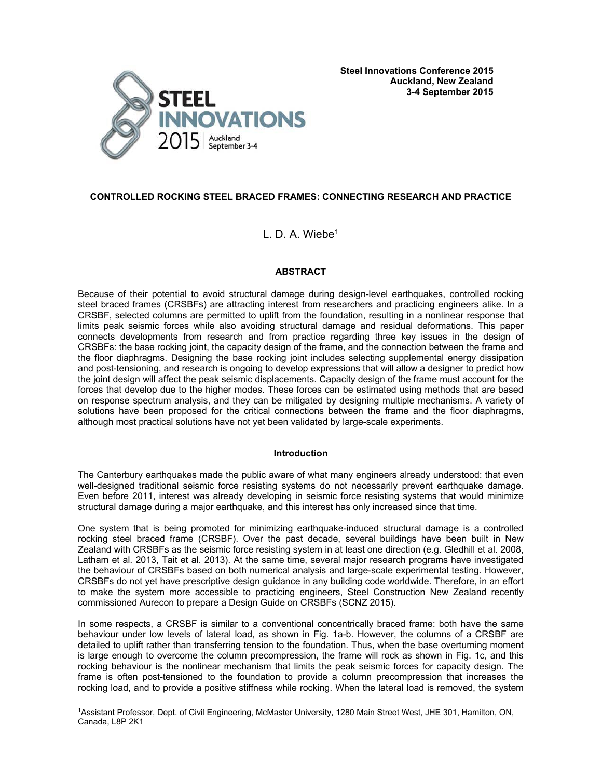

## **CONTROLLED ROCKING STEEL BRACED FRAMES: CONNECTING RESEARCH AND PRACTICE**

# L. D. A. Wiebe<sup>1</sup>

## **ABSTRACT**

Because of their potential to avoid structural damage during design-level earthquakes, controlled rocking steel braced frames (CRSBFs) are attracting interest from researchers and practicing engineers alike. In a CRSBF, selected columns are permitted to uplift from the foundation, resulting in a nonlinear response that limits peak seismic forces while also avoiding structural damage and residual deformations. This paper connects developments from research and from practice regarding three key issues in the design of CRSBFs: the base rocking joint, the capacity design of the frame, and the connection between the frame and the floor diaphragms. Designing the base rocking joint includes selecting supplemental energy dissipation and post-tensioning, and research is ongoing to develop expressions that will allow a designer to predict how the joint design will affect the peak seismic displacements. Capacity design of the frame must account for the forces that develop due to the higher modes. These forces can be estimated using methods that are based on response spectrum analysis, and they can be mitigated by designing multiple mechanisms. A variety of solutions have been proposed for the critical connections between the frame and the floor diaphragms, although most practical solutions have not yet been validated by large-scale experiments.

## **Introduction**

The Canterbury earthquakes made the public aware of what many engineers already understood: that even well-designed traditional seismic force resisting systems do not necessarily prevent earthquake damage. Even before 2011, interest was already developing in seismic force resisting systems that would minimize structural damage during a major earthquake, and this interest has only increased since that time.

One system that is being promoted for minimizing earthquake-induced structural damage is a controlled rocking steel braced frame (CRSBF). Over the past decade, several buildings have been built in New Zealand with CRSBFs as the seismic force resisting system in at least one direction (e.g. Gledhill et al. 2008, Latham et al. 2013, Tait et al. 2013). At the same time, several major research programs have investigated the behaviour of CRSBFs based on both numerical analysis and large-scale experimental testing. However, CRSBFs do not yet have prescriptive design guidance in any building code worldwide. Therefore, in an effort to make the system more accessible to practicing engineers, Steel Construction New Zealand recently commissioned Aurecon to prepare a Design Guide on CRSBFs (SCNZ 2015).

In some respects, a CRSBF is similar to a conventional concentrically braced frame: both have the same behaviour under low levels of lateral load, as shown in Fig. 1a-b. However, the columns of a CRSBF are detailed to uplift rather than transferring tension to the foundation. Thus, when the base overturning moment is large enough to overcome the column precompression, the frame will rock as shown in Fig. 1c, and this rocking behaviour is the nonlinear mechanism that limits the peak seismic forces for capacity design. The frame is often post-tensioned to the foundation to provide a column precompression that increases the rocking load, and to provide a positive stiffness while rocking. When the lateral load is removed, the system

÷

<sup>1</sup>Assistant Professor, Dept. of Civil Engineering, McMaster University, 1280 Main Street West, JHE 301, Hamilton, ON, Canada, L8P 2K1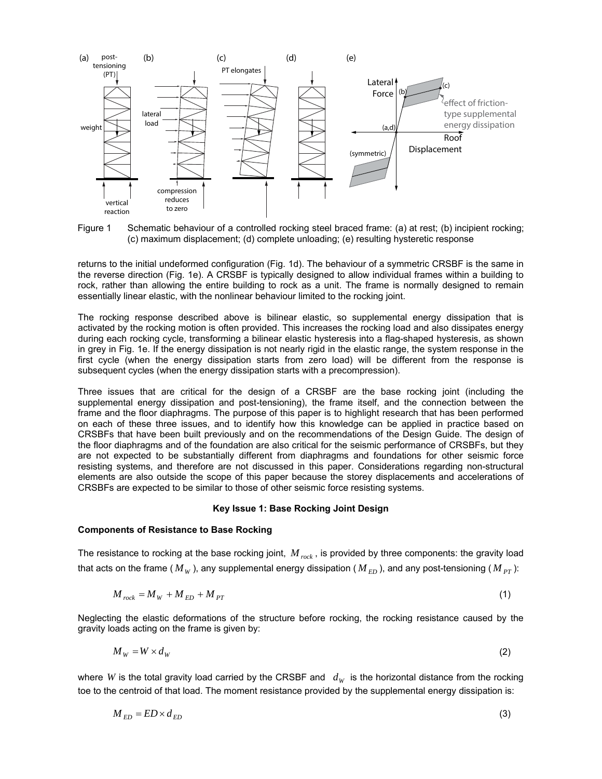

Figure 1 Schematic behaviour of a controlled rocking steel braced frame: (a) at rest; (b) incipient rocking; (c) maximum displacement; (d) complete unloading; (e) resulting hysteretic response

returns to the initial undeformed configuration (Fig. 1d). The behaviour of a symmetric CRSBF is the same in the reverse direction (Fig. 1e). A CRSBF is typically designed to allow individual frames within a building to rock, rather than allowing the entire building to rock as a unit. The frame is normally designed to remain essentially linear elastic, with the nonlinear behaviour limited to the rocking joint.

The rocking response described above is bilinear elastic, so supplemental energy dissipation that is activated by the rocking motion is often provided. This increases the rocking load and also dissipates energy during each rocking cycle, transforming a bilinear elastic hysteresis into a flag-shaped hysteresis, as shown in grey in Fig. 1e. If the energy dissipation is not nearly rigid in the elastic range, the system response in the first cycle (when the energy dissipation starts from zero load) will be different from the response is subsequent cycles (when the energy dissipation starts with a precompression).

Three issues that are critical for the design of a CRSBF are the base rocking joint (including the supplemental energy dissipation and post-tensioning), the frame itself, and the connection between the frame and the floor diaphragms. The purpose of this paper is to highlight research that has been performed on each of these three issues, and to identify how this knowledge can be applied in practice based on CRSBFs that have been built previously and on the recommendations of the Design Guide. The design of the floor diaphragms and of the foundation are also critical for the seismic performance of CRSBFs, but they are not expected to be substantially different from diaphragms and foundations for other seismic force resisting systems, and therefore are not discussed in this paper. Considerations regarding non-structural elements are also outside the scope of this paper because the storey displacements and accelerations of CRSBFs are expected to be similar to those of other seismic force resisting systems.

#### **Key Issue 1: Base Rocking Joint Design**

#### **Components of Resistance to Base Rocking**

The resistance to rocking at the base rocking joint, *M rock* , is provided by three components: the gravity load that acts on the frame ( $M_W$ ), any supplemental energy dissipation ( $M_{ED}$ ), and any post-tensioning ( $M_{PT}$ ):

$$
M_{rock} = M_W + M_{ED} + M_{PT} \tag{1}
$$

Neglecting the elastic deformations of the structure before rocking, the rocking resistance caused by the gravity loads acting on the frame is given by:

$$
M_W = W \times d_W \tag{2}
$$

where *W* is the total gravity load carried by the CRSBF and  $d_W$  is the horizontal distance from the rocking toe to the centroid of that load. The moment resistance provided by the supplemental energy dissipation is:

$$
M_{ED} = ED \times d_{ED} \tag{3}
$$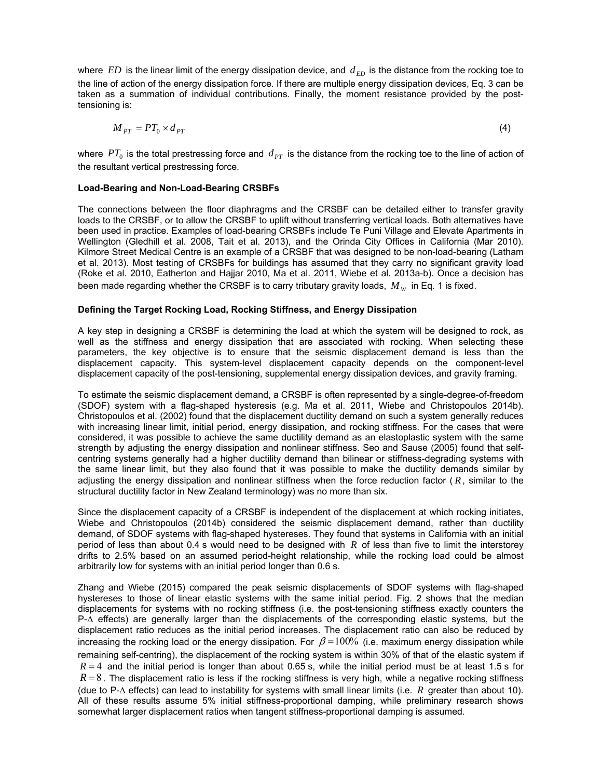where  $ED$  is the linear limit of the energy dissipation device, and  $d_{ED}$  is the distance from the rocking toe to the line of action of the energy dissipation force. If there are multiple energy dissipation devices, Eq. 3 can be taken as a summation of individual contributions. Finally, the moment resistance provided by the posttensioning is:

$$
M_{PT} = PT_0 \times d_{PT} \tag{4}
$$

where  $PT_0$  is the total prestressing force and  $d_{PT}$  is the distance from the rocking toe to the line of action of the resultant vertical prestressing force.

### **Load-Bearing and Non-Load-Bearing CRSBFs**

The connections between the floor diaphragms and the CRSBF can be detailed either to transfer gravity loads to the CRSBF, or to allow the CRSBF to uplift without transferring vertical loads. Both alternatives have been used in practice. Examples of load-bearing CRSBFs include Te Puni Village and Elevate Apartments in Wellington (Gledhill et al. 2008, Tait et al. 2013), and the Orinda City Offices in California (Mar 2010). Kilmore Street Medical Centre is an example of a CRSBF that was designed to be non-load-bearing (Latham et al. 2013). Most testing of CRSBFs for buildings has assumed that they carry no significant gravity load (Roke et al. 2010, Eatherton and Hajjar 2010, Ma et al. 2011, Wiebe et al. 2013a-b). Once a decision has been made regarding whether the CRSBF is to carry tributary gravity loads,  $M_W$  in Eq. 1 is fixed.

### **Defining the Target Rocking Load, Rocking Stiffness, and Energy Dissipation**

A key step in designing a CRSBF is determining the load at which the system will be designed to rock, as well as the stiffness and energy dissipation that are associated with rocking. When selecting these parameters, the key objective is to ensure that the seismic displacement demand is less than the displacement capacity. This system-level displacement capacity depends on the component-level displacement capacity of the post-tensioning, supplemental energy dissipation devices, and gravity framing.

To estimate the seismic displacement demand, a CRSBF is often represented by a single-degree-of-freedom (SDOF) system with a flag-shaped hysteresis (e.g. Ma et al. 2011, Wiebe and Christopoulos 2014b). Christopoulos et al. (2002) found that the displacement ductility demand on such a system generally reduces with increasing linear limit, initial period, energy dissipation, and rocking stiffness. For the cases that were considered, it was possible to achieve the same ductility demand as an elastoplastic system with the same strength by adjusting the energy dissipation and nonlinear stiffness. Seo and Sause (2005) found that selfcentring systems generally had a higher ductility demand than bilinear or stiffness-degrading systems with the same linear limit, but they also found that it was possible to make the ductility demands similar by adjusting the energy dissipation and nonlinear stiffness when the force reduction factor ( *R*, similar to the structural ductility factor in New Zealand terminology) was no more than six.

Since the displacement capacity of a CRSBF is independent of the displacement at which rocking initiates, Wiebe and Christopoulos (2014b) considered the seismic displacement demand, rather than ductility demand, of SDOF systems with flag-shaped hystereses. They found that systems in California with an initial period of less than about 0.4 s would need to be designed with *R* of less than five to limit the interstorey drifts to 2.5% based on an assumed period-height relationship, while the rocking load could be almost arbitrarily low for systems with an initial period longer than 0.6 s.

Zhang and Wiebe (2015) compared the peak seismic displacements of SDOF systems with flag-shaped hystereses to those of linear elastic systems with the same initial period. Fig. 2 shows that the median displacements for systems with no rocking stiffness (i.e. the post-tensioning stiffness exactly counters the P-Δ effects) are generally larger than the displacements of the corresponding elastic systems, but the displacement ratio reduces as the initial period increases. The displacement ratio can also be reduced by increasing the rocking load or the energy dissipation. For  $\beta = 100\%$  (i.e. maximum energy dissipation while remaining self-centring), the displacement of the rocking system is within 30% of that of the elastic system if  $R = 4$  and the initial period is longer than about 0.65 s, while the initial period must be at least 1.5 s for  $R = 8$ . The displacement ratio is less if the rocking stiffness is very high, while a negative rocking stiffness (due to P-Δ effects) can lead to instability for systems with small linear limits (i.e. *R* greater than about 10). All of these results assume 5% initial stiffness-proportional damping, while preliminary research shows somewhat larger displacement ratios when tangent stiffness-proportional damping is assumed.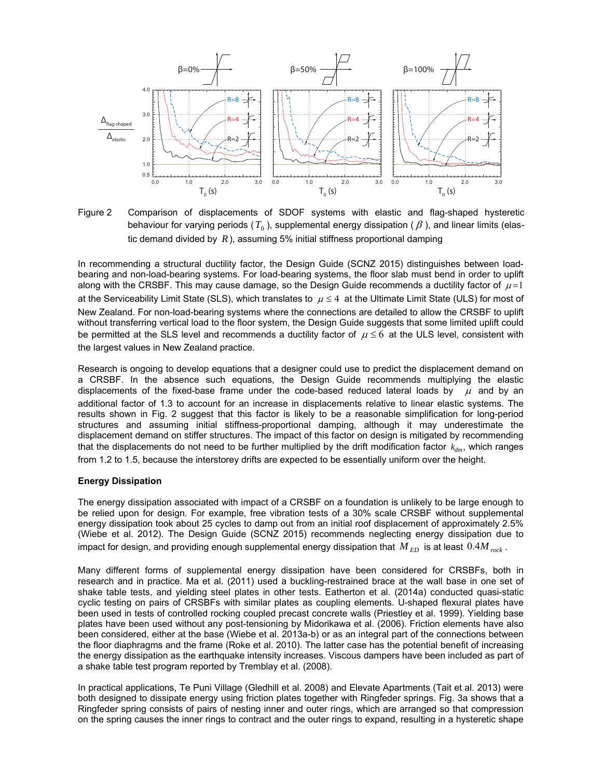

Figure 2 Comparison of displacements of SDOF systems with elastic and flag-shaped hysteretic behaviour for varying periods  $(T_0)$ , supplemental energy dissipation ( $\beta$ ), and linear limits (elastic demand divided by  $R$ ), assuming 5% initial stiffness proportional damping

In recommending a structural ductility factor, the Design Guide (SCNZ 2015) distinguishes between loadbearing and non-load-bearing systems. For load-bearing systems, the floor slab must bend in order to uplift along with the CRSBF. This may cause damage, so the Design Guide recommends a ductility factor of  $\mu$ =1 at the Serviceability Limit State (SLS), which translates to  $\mu \leq 4$  at the Ultimate Limit State (ULS) for most of New Zealand. For non-load-bearing systems where the connections are detailed to allow the CRSBF to uplift without transferring vertical load to the floor system, the Design Guide suggests that some limited uplift could be permitted at the SLS level and recommends a ductility factor of  $\mu \leq 6$  at the ULS level, consistent with the largest values in New Zealand practice.

Research is ongoing to develop equations that a designer could use to predict the displacement demand on a CRSBF. In the absence such equations, the Design Guide recommends multiplying the elastic displacements of the fixed-base frame under the code-based reduced lateral loads by  $\mu$  and by an additional factor of 1.3 to account for an increase in displacements relative to linear elastic systems. The results shown in Fig. 2 suggest that this factor is likely to be a reasonable simplification for long-period structures and assuming initial stiffness-proportional damping, although it may underestimate the displacement demand on stiffer structures. The impact of this factor on design is mitigated by recommending that the displacements do not need to be further multiplied by the drift modification factor  $k_{dm}$ , which ranges from 1.2 to 1.5, because the interstorey drifts are expected to be essentially uniform over the height.

#### **Energy Dissipation**

The energy dissipation associated with impact of a CRSBF on a foundation is unlikely to be large enough to be relied upon for design. For example, free vibration tests of a 30% scale CRSBF without supplemental energy dissipation took about 25 cycles to damp out from an initial roof displacement of approximately 2.5% (Wiebe et al. 2012). The Design Guide (SCNZ 2015) recommends neglecting energy dissipation due to impact for design, and providing enough supplemental energy dissipation that  $M_{ED}$  is at least  $0.4 M_{rock}$ .

Many different forms of supplemental energy dissipation have been considered for CRSBFs, both in research and in practice. Ma et al. (2011) used a buckling-restrained brace at the wall base in one set of shake table tests, and yielding steel plates in other tests. Eatherton et al. (2014a) conducted quasi-static cyclic testing on pairs of CRSBFs with similar plates as coupling elements. U-shaped flexural plates have been used in tests of controlled rocking coupled precast concrete walls (Priestley et al. 1999). Yielding base plates have been used without any post-tensioning by Midorikawa et al. (2006). Friction elements have also been considered, either at the base (Wiebe et al. 2013a-b) or as an integral part of the connections between the floor diaphragms and the frame (Roke et al. 2010). The latter case has the potential benefit of increasing the energy dissipation as the earthquake intensity increases. Viscous dampers have been included as part of a shake table test program reported by Tremblay et al. (2008).

In practical applications, Te Puni Village (Gledhill et al. 2008) and Elevate Apartments (Tait et al. 2013) were both designed to dissipate energy using friction plates together with Ringfeder springs. Fig. 3a shows that a Ringfeder spring consists of pairs of nesting inner and outer rings, which are arranged so that compression on the spring causes the inner rings to contract and the outer rings to expand, resulting in a hysteretic shape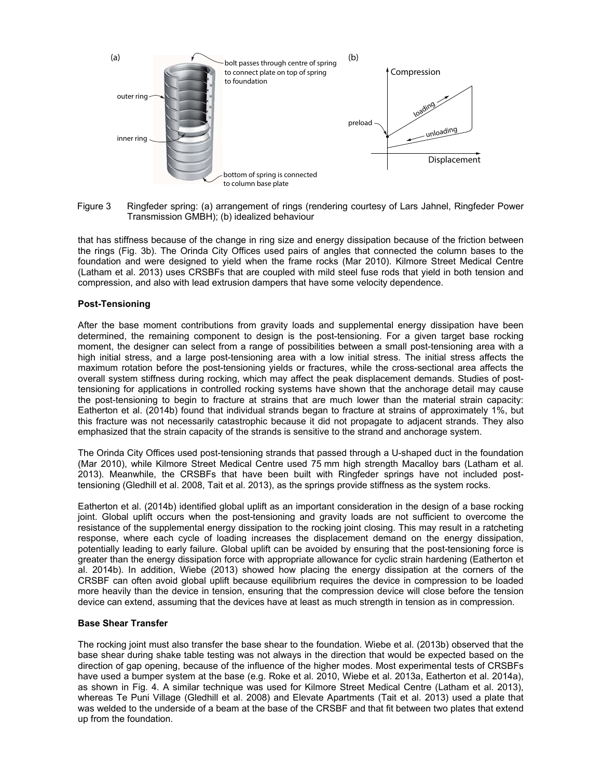

Figure 3 Ringfeder spring: (a) arrangement of rings (rendering courtesy of Lars Jahnel, Ringfeder Power Transmission GMBH); (b) idealized behaviour

that has stiffness because of the change in ring size and energy dissipation because of the friction between the rings (Fig. 3b). The Orinda City Offices used pairs of angles that connected the column bases to the foundation and were designed to yield when the frame rocks (Mar 2010). Kilmore Street Medical Centre (Latham et al. 2013) uses CRSBFs that are coupled with mild steel fuse rods that yield in both tension and compression, and also with lead extrusion dampers that have some velocity dependence.

#### **Post-Tensioning**

After the base moment contributions from gravity loads and supplemental energy dissipation have been determined, the remaining component to design is the post-tensioning. For a given target base rocking moment, the designer can select from a range of possibilities between a small post-tensioning area with a high initial stress, and a large post-tensioning area with a low initial stress. The initial stress affects the maximum rotation before the post-tensioning yields or fractures, while the cross-sectional area affects the overall system stiffness during rocking, which may affect the peak displacement demands. Studies of posttensioning for applications in controlled rocking systems have shown that the anchorage detail may cause the post-tensioning to begin to fracture at strains that are much lower than the material strain capacity: Eatherton et al. (2014b) found that individual strands began to fracture at strains of approximately 1%, but this fracture was not necessarily catastrophic because it did not propagate to adjacent strands. They also emphasized that the strain capacity of the strands is sensitive to the strand and anchorage system.

The Orinda City Offices used post-tensioning strands that passed through a U-shaped duct in the foundation (Mar 2010), while Kilmore Street Medical Centre used 75 mm high strength Macalloy bars (Latham et al. 2013). Meanwhile, the CRSBFs that have been built with Ringfeder springs have not included posttensioning (Gledhill et al. 2008, Tait et al. 2013), as the springs provide stiffness as the system rocks.

Eatherton et al. (2014b) identified global uplift as an important consideration in the design of a base rocking joint. Global uplift occurs when the post-tensioning and gravity loads are not sufficient to overcome the resistance of the supplemental energy dissipation to the rocking joint closing. This may result in a ratcheting response, where each cycle of loading increases the displacement demand on the energy dissipation, potentially leading to early failure. Global uplift can be avoided by ensuring that the post-tensioning force is greater than the energy dissipation force with appropriate allowance for cyclic strain hardening (Eatherton et al. 2014b). In addition, Wiebe (2013) showed how placing the energy dissipation at the corners of the CRSBF can often avoid global uplift because equilibrium requires the device in compression to be loaded more heavily than the device in tension, ensuring that the compression device will close before the tension device can extend, assuming that the devices have at least as much strength in tension as in compression.

#### **Base Shear Transfer**

The rocking joint must also transfer the base shear to the foundation. Wiebe et al. (2013b) observed that the base shear during shake table testing was not always in the direction that would be expected based on the direction of gap opening, because of the influence of the higher modes. Most experimental tests of CRSBFs have used a bumper system at the base (e.g. Roke et al. 2010, Wiebe et al. 2013a, Eatherton et al. 2014a), as shown in Fig. 4. A similar technique was used for Kilmore Street Medical Centre (Latham et al. 2013), whereas Te Puni Village (Gledhill et al. 2008) and Elevate Apartments (Tait et al. 2013) used a plate that was welded to the underside of a beam at the base of the CRSBF and that fit between two plates that extend up from the foundation.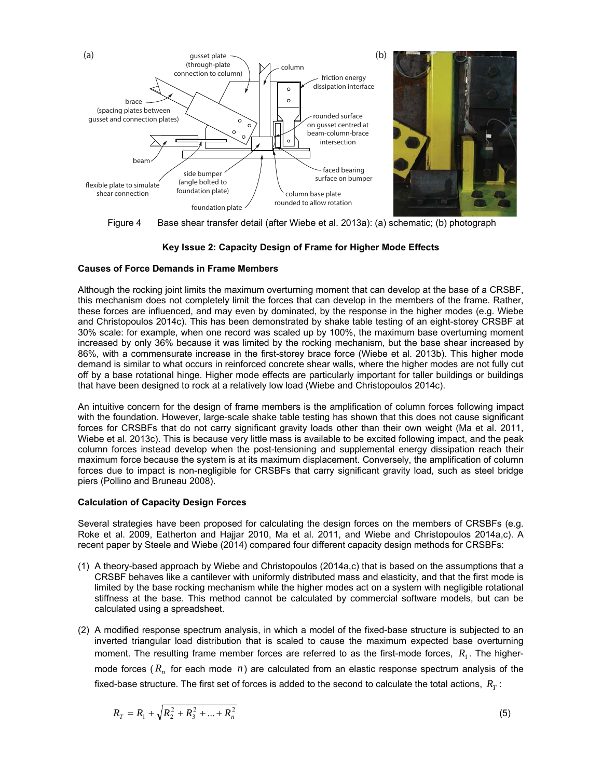

Figure 4 Base shear transfer detail (after Wiebe et al. 2013a): (a) schematic; (b) photograph

## **Key Issue 2: Capacity Design of Frame for Higher Mode Effects**

### **Causes of Force Demands in Frame Members**

Although the rocking joint limits the maximum overturning moment that can develop at the base of a CRSBF, this mechanism does not completely limit the forces that can develop in the members of the frame. Rather, these forces are influenced, and may even by dominated, by the response in the higher modes (e.g. Wiebe and Christopoulos 2014c). This has been demonstrated by shake table testing of an eight-storey CRSBF at 30% scale: for example, when one record was scaled up by 100%, the maximum base overturning moment increased by only 36% because it was limited by the rocking mechanism, but the base shear increased by 86%, with a commensurate increase in the first-storey brace force (Wiebe et al. 2013b). This higher mode demand is similar to what occurs in reinforced concrete shear walls, where the higher modes are not fully cut off by a base rotational hinge. Higher mode effects are particularly important for taller buildings or buildings that have been designed to rock at a relatively low load (Wiebe and Christopoulos 2014c).

An intuitive concern for the design of frame members is the amplification of column forces following impact with the foundation. However, large-scale shake table testing has shown that this does not cause significant forces for CRSBFs that do not carry significant gravity loads other than their own weight (Ma et al. 2011, Wiebe et al. 2013c). This is because very little mass is available to be excited following impact, and the peak column forces instead develop when the post-tensioning and supplemental energy dissipation reach their maximum force because the system is at its maximum displacement. Conversely, the amplification of column forces due to impact is non-negligible for CRSBFs that carry significant gravity load, such as steel bridge piers (Pollino and Bruneau 2008).

## **Calculation of Capacity Design Forces**

Several strategies have been proposed for calculating the design forces on the members of CRSBFs (e.g. Roke et al. 2009, Eatherton and Hajjar 2010, Ma et al. 2011, and Wiebe and Christopoulos 2014a,c). A recent paper by Steele and Wiebe (2014) compared four different capacity design methods for CRSBFs:

- (1) A theory-based approach by Wiebe and Christopoulos (2014a,c) that is based on the assumptions that a CRSBF behaves like a cantilever with uniformly distributed mass and elasticity, and that the first mode is limited by the base rocking mechanism while the higher modes act on a system with negligible rotational stiffness at the base. This method cannot be calculated by commercial software models, but can be calculated using a spreadsheet.
- (2) A modified response spectrum analysis, in which a model of the fixed-base structure is subjected to an inverted triangular load distribution that is scaled to cause the maximum expected base overturning moment. The resulting frame member forces are referred to as the first-mode forces,  $R_1$ . The highermode forces ( $R_n$  for each mode  $n$ ) are calculated from an elastic response spectrum analysis of the fixed-base structure. The first set of forces is added to the second to calculate the total actions,  $R_T$ :

$$
R_T = R_1 + \sqrt{R_2^2 + R_3^2 + \dots + R_n^2}
$$
 (5)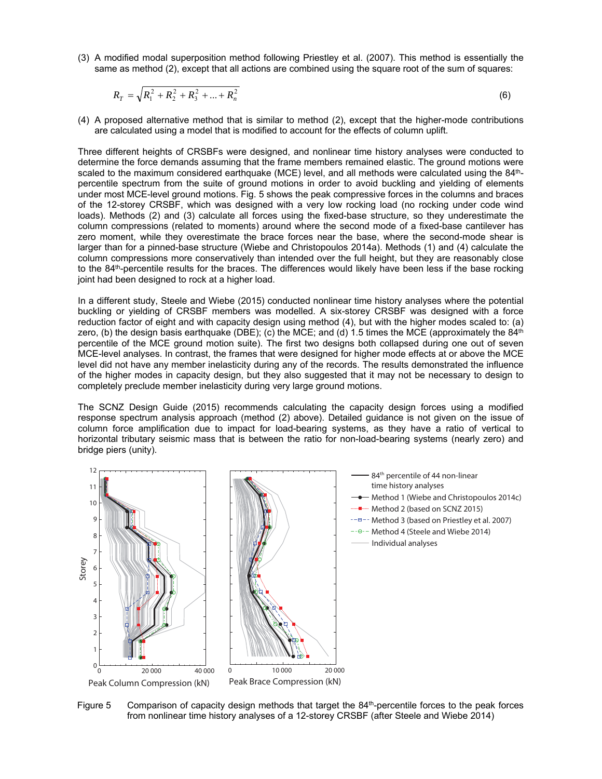(3) A modified modal superposition method following Priestley et al. (2007). This method is essentially the same as method (2), except that all actions are combined using the square root of the sum of squares:

$$
R_T = \sqrt{R_1^2 + R_2^2 + R_3^2 + \dots + R_n^2}
$$
 (6)

(4) A proposed alternative method that is similar to method (2), except that the higher-mode contributions are calculated using a model that is modified to account for the effects of column uplift.

Three different heights of CRSBFs were designed, and nonlinear time history analyses were conducted to determine the force demands assuming that the frame members remained elastic. The ground motions were scaled to the maximum considered earthquake (MCE) level, and all methods were calculated using the 84<sup>th</sup>percentile spectrum from the suite of ground motions in order to avoid buckling and yielding of elements under most MCE-level ground motions. Fig. 5 shows the peak compressive forces in the columns and braces of the 12-storey CRSBF, which was designed with a very low rocking load (no rocking under code wind loads). Methods (2) and (3) calculate all forces using the fixed-base structure, so they underestimate the column compressions (related to moments) around where the second mode of a fixed-base cantilever has zero moment, while they overestimate the brace forces near the base, where the second-mode shear is larger than for a pinned-base structure (Wiebe and Christopoulos 2014a). Methods (1) and (4) calculate the column compressions more conservatively than intended over the full height, but they are reasonably close to the 84th-percentile results for the braces. The differences would likely have been less if the base rocking joint had been designed to rock at a higher load.

In a different study, Steele and Wiebe (2015) conducted nonlinear time history analyses where the potential buckling or yielding of CRSBF members was modelled. A six-storey CRSBF was designed with a force reduction factor of eight and with capacity design using method (4), but with the higher modes scaled to: (a) zero, (b) the design basis earthquake (DBE); (c) the MCE; and (d) 1.5 times the MCE (approximately the 84<sup>th</sup> percentile of the MCE ground motion suite). The first two designs both collapsed during one out of seven MCE-level analyses. In contrast, the frames that were designed for higher mode effects at or above the MCE level did not have any member inelasticity during any of the records. The results demonstrated the influence of the higher modes in capacity design, but they also suggested that it may not be necessary to design to completely preclude member inelasticity during very large ground motions.

The SCNZ Design Guide (2015) recommends calculating the capacity design forces using a modified response spectrum analysis approach (method (2) above). Detailed guidance is not given on the issue of column force amplification due to impact for load-bearing systems, as they have a ratio of vertical to horizontal tributary seismic mass that is between the ratio for non-load-bearing systems (nearly zero) and bridge piers (unity).



Figure 5 Comparison of capacity design methods that target the  $84<sup>th</sup>$ -percentile forces to the peak forces from nonlinear time history analyses of a 12-storey CRSBF (after Steele and Wiebe 2014)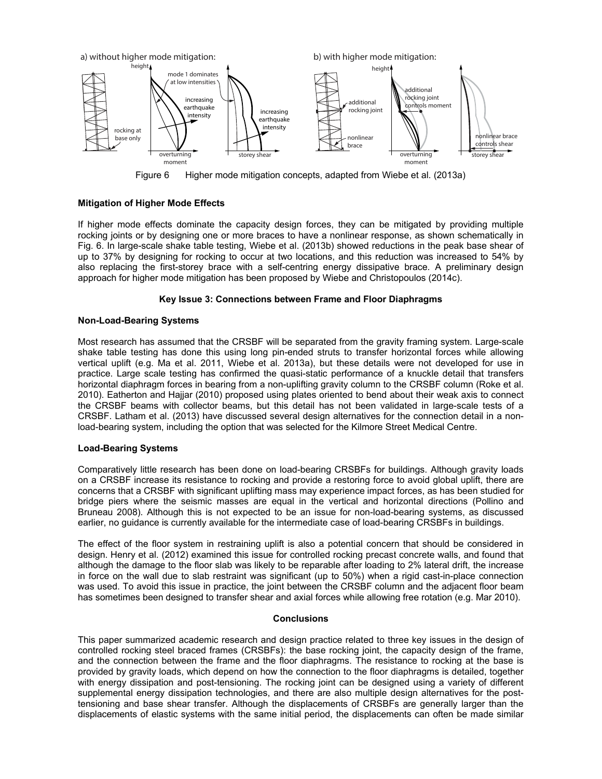

Figure 6 Higher mode mitigation concepts, adapted from Wiebe et al. (2013a)

## **Mitigation of Higher Mode Effects**

If higher mode effects dominate the capacity design forces, they can be mitigated by providing multiple rocking joints or by designing one or more braces to have a nonlinear response, as shown schematically in Fig. 6. In large-scale shake table testing, Wiebe et al. (2013b) showed reductions in the peak base shear of up to 37% by designing for rocking to occur at two locations, and this reduction was increased to 54% by also replacing the first-storey brace with a self-centring energy dissipative brace. A preliminary design approach for higher mode mitigation has been proposed by Wiebe and Christopoulos (2014c).

### **Key Issue 3: Connections between Frame and Floor Diaphragms**

#### **Non-Load-Bearing Systems**

Most research has assumed that the CRSBF will be separated from the gravity framing system. Large-scale shake table testing has done this using long pin-ended struts to transfer horizontal forces while allowing vertical uplift (e.g. Ma et al. 2011, Wiebe et al. 2013a), but these details were not developed for use in practice. Large scale testing has confirmed the quasi-static performance of a knuckle detail that transfers horizontal diaphragm forces in bearing from a non-uplifting gravity column to the CRSBF column (Roke et al. 2010). Eatherton and Hajjar (2010) proposed using plates oriented to bend about their weak axis to connect the CRSBF beams with collector beams, but this detail has not been validated in large-scale tests of a CRSBF. Latham et al. (2013) have discussed several design alternatives for the connection detail in a nonload-bearing system, including the option that was selected for the Kilmore Street Medical Centre.

### **Load-Bearing Systems**

Comparatively little research has been done on load-bearing CRSBFs for buildings. Although gravity loads on a CRSBF increase its resistance to rocking and provide a restoring force to avoid global uplift, there are concerns that a CRSBF with significant uplifting mass may experience impact forces, as has been studied for bridge piers where the seismic masses are equal in the vertical and horizontal directions (Pollino and Bruneau 2008). Although this is not expected to be an issue for non-load-bearing systems, as discussed earlier, no guidance is currently available for the intermediate case of load-bearing CRSBFs in buildings.

The effect of the floor system in restraining uplift is also a potential concern that should be considered in design. Henry et al. (2012) examined this issue for controlled rocking precast concrete walls, and found that although the damage to the floor slab was likely to be reparable after loading to 2% lateral drift, the increase in force on the wall due to slab restraint was significant (up to 50%) when a rigid cast-in-place connection was used. To avoid this issue in practice, the joint between the CRSBF column and the adjacent floor beam has sometimes been designed to transfer shear and axial forces while allowing free rotation (e.g. Mar 2010).

#### **Conclusions**

This paper summarized academic research and design practice related to three key issues in the design of controlled rocking steel braced frames (CRSBFs): the base rocking joint, the capacity design of the frame, and the connection between the frame and the floor diaphragms. The resistance to rocking at the base is provided by gravity loads, which depend on how the connection to the floor diaphragms is detailed, together with energy dissipation and post-tensioning. The rocking joint can be designed using a variety of different supplemental energy dissipation technologies, and there are also multiple design alternatives for the posttensioning and base shear transfer. Although the displacements of CRSBFs are generally larger than the displacements of elastic systems with the same initial period, the displacements can often be made similar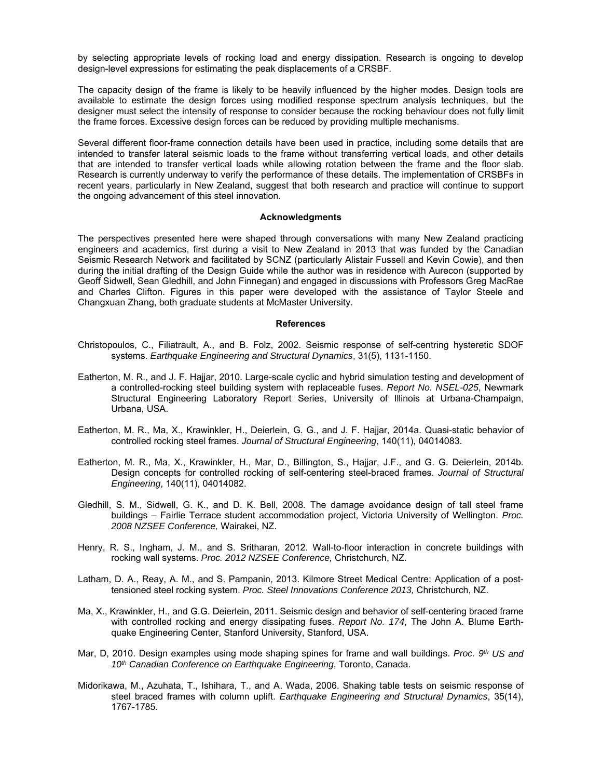by selecting appropriate levels of rocking load and energy dissipation. Research is ongoing to develop design-level expressions for estimating the peak displacements of a CRSBF.

The capacity design of the frame is likely to be heavily influenced by the higher modes. Design tools are available to estimate the design forces using modified response spectrum analysis techniques, but the designer must select the intensity of response to consider because the rocking behaviour does not fully limit the frame forces. Excessive design forces can be reduced by providing multiple mechanisms.

Several different floor-frame connection details have been used in practice, including some details that are intended to transfer lateral seismic loads to the frame without transferring vertical loads, and other details that are intended to transfer vertical loads while allowing rotation between the frame and the floor slab. Research is currently underway to verify the performance of these details. The implementation of CRSBFs in recent years, particularly in New Zealand, suggest that both research and practice will continue to support the ongoing advancement of this steel innovation.

#### **Acknowledgments**

The perspectives presented here were shaped through conversations with many New Zealand practicing engineers and academics, first during a visit to New Zealand in 2013 that was funded by the Canadian Seismic Research Network and facilitated by SCNZ (particularly Alistair Fussell and Kevin Cowie), and then during the initial drafting of the Design Guide while the author was in residence with Aurecon (supported by Geoff Sidwell, Sean Gledhill, and John Finnegan) and engaged in discussions with Professors Greg MacRae and Charles Clifton. Figures in this paper were developed with the assistance of Taylor Steele and Changxuan Zhang, both graduate students at McMaster University.

#### **References**

- Christopoulos, C., Filiatrault, A., and B. Folz, 2002. Seismic response of self-centring hysteretic SDOF systems. *Earthquake Engineering and Structural Dynamics*, 31(5), 1131-1150.
- Eatherton, M. R., and J. F. Hajjar, 2010. Large-scale cyclic and hybrid simulation testing and development of a controlled-rocking steel building system with replaceable fuses. *Report No. NSEL-025*, Newmark Structural Engineering Laboratory Report Series, University of Illinois at Urbana-Champaign, Urbana, USA.
- Eatherton, M. R., Ma, X., Krawinkler, H., Deierlein, G. G., and J. F. Hajjar, 2014a. Quasi-static behavior of controlled rocking steel frames. *Journal of Structural Engineering*, 140(11), 04014083.
- Eatherton, M. R., Ma, X., Krawinkler, H., Mar, D., Billington, S., Hajjar, J.F., and G. G. Deierlein, 2014b. Design concepts for controlled rocking of self-centering steel-braced frames. *Journal of Structural Engineering*, 140(11), 04014082.
- Gledhill, S. M., Sidwell, G. K., and D. K. Bell, 2008. The damage avoidance design of tall steel frame buildings – Fairlie Terrace student accommodation project, Victoria University of Wellington. *Proc. 2008 NZSEE Conference,* Wairakei, NZ.
- Henry, R. S., Ingham, J. M., and S. Sritharan, 2012. Wall-to-floor interaction in concrete buildings with rocking wall systems. *Proc. 2012 NZSEE Conference,* Christchurch, NZ.
- Latham, D. A., Reay, A. M., and S. Pampanin, 2013. Kilmore Street Medical Centre: Application of a posttensioned steel rocking system. *Proc. Steel Innovations Conference 2013,* Christchurch, NZ.
- Ma, X., Krawinkler, H., and G.G. Deierlein, 2011. Seismic design and behavior of self-centering braced frame with controlled rocking and energy dissipating fuses. *Report No. 174*, The John A. Blume Earthquake Engineering Center, Stanford University, Stanford, USA.
- Mar, D, 2010. Design examples using mode shaping spines for frame and wall buildings. *Proc.* 9<sup>th</sup> US and *10th Canadian Conference on Earthquake Engineering*, Toronto, Canada.
- Midorikawa, M., Azuhata, T., Ishihara, T., and A. Wada, 2006. Shaking table tests on seismic response of steel braced frames with column uplift. *Earthquake Engineering and Structural Dynamics*, 35(14), 1767-1785.